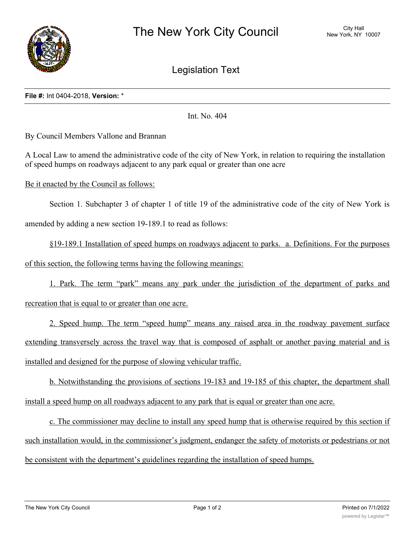

Legislation Text

## **File #:** Int 0404-2018, **Version:** \*

Int. No. 404

By Council Members Vallone and Brannan

A Local Law to amend the administrative code of the city of New York, in relation to requiring the installation of speed humps on roadways adjacent to any park equal or greater than one acre

Be it enacted by the Council as follows:

Section 1. Subchapter 3 of chapter 1 of title 19 of the administrative code of the city of New York is

amended by adding a new section 19-189.1 to read as follows:

§19-189.1 Installation of speed humps on roadways adjacent to parks. a. Definitions. For the purposes of this section, the following terms having the following meanings:

1. Park. The term "park" means any park under the jurisdiction of the department of parks and

recreation that is equal to or greater than one acre.

2. Speed hump. The term "speed hump" means any raised area in the roadway pavement surface extending transversely across the travel way that is composed of asphalt or another paving material and is installed and designed for the purpose of slowing vehicular traffic.

b. Notwithstanding the provisions of sections 19-183 and 19-185 of this chapter, the department shall install a speed hump on all roadways adjacent to any park that is equal or greater than one acre.

c. The commissioner may decline to install any speed hump that is otherwise required by this section if such installation would, in the commissioner's judgment, endanger the safety of motorists or pedestrians or not be consistent with the department's guidelines regarding the installation of speed humps.